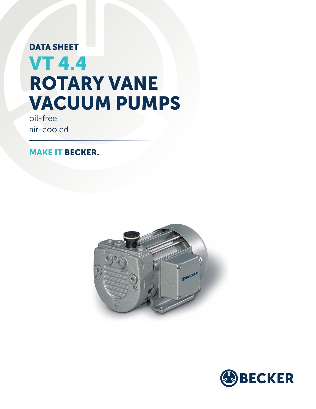# DATA SHEET VT 4.4 ROTARY VANE VACUUM PUMPS

oil-free air-cooled

MAKE IT BECKER.



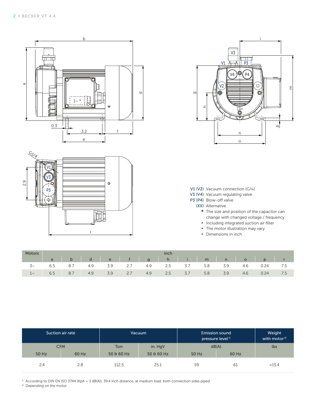





V1 (V2) Vacuum connection (G1/4)

- V3 (V4) Vacuum regulating valve
- P3 (P4) Blow-off valve
	- (XX) Alternative
		- **\*** The size and position of the capacitor can change with changed voltage / frequency.
		- Including integrated suction air filter
		- **•** The motor illustration may vary
		- **▪** Dimensions in inch

|                    | <b>Inch</b> |     |     |     |     |     |         |     |     |     |     |      |  |
|--------------------|-------------|-----|-----|-----|-----|-----|---------|-----|-----|-----|-----|------|--|
| labde fighilm nopr |             |     |     |     |     |     |         |     |     |     |     |      |  |
|                    | 6.5         | 8.7 | 4.9 | 3.9 | 2.7 | 4.9 | 2.5 3.7 |     | 5.8 | 3.9 | 4.6 | 0.24 |  |
| $1\sim$            | 6.5         | 8.7 | 4.9 | 3.9 | 2.7 | 4.9 | 2.5     | 3.7 | 5.8 | 3.9 | 4.6 | 0.24 |  |

|       | Suction air rate |             | Vacuum      | <b>Emission sound</b><br>pressure level <sup>1)</sup> | Weight<br>with motor <sup>2)</sup> |                |
|-------|------------------|-------------|-------------|-------------------------------------------------------|------------------------------------|----------------|
|       | <b>CFM</b>       | <b>Torr</b> | in. HgV     | dB(A)                                                 |                                    | lbs            |
| 50 Hz | 60 Hz            | $50.660$ Hz | $50.660$ Hz | 50 Hz                                                 | 60 Hz                              |                |
| 2.4   | 2.8              | 112.5       | 25.1        | 59                                                    | 61                                 | $\approx$ 15.4 |

 $1)$  According to DIN EN ISO 3744 (KpA = 3 dB(A)), 39.4 inch distance, at medium load, both connection sides piped

<sup>2)</sup> Depending on the motor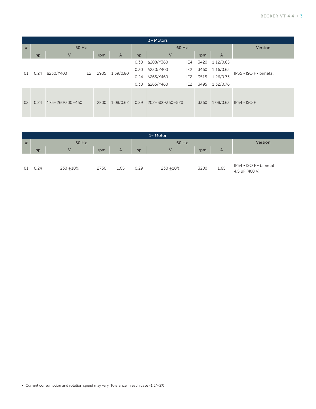| 3~M |      |                              |      |           |       |                 |                 |      |                |                        |
|-----|------|------------------------------|------|-----------|-------|-----------------|-----------------|------|----------------|------------------------|
| #   |      | 50 Hz                        |      |           | 60 Hz | Version         |                 |      |                |                        |
|     | hp   | $\vee$                       | rpm  | A         | hp    | V               |                 | rpm  | $\overline{A}$ |                        |
|     | 0.24 |                              |      | 1.39/0.80 | 0.30  | Δ208/Y360       | IE4             | 3420 | 1.12/0.65      |                        |
|     |      | Δ230/Y400<br>IE <sub>2</sub> | 2905 |           | 0.30  | Δ230/Y400       | IE <sub>2</sub> | 3460 | 1.16/0.65      | IP55 • ISO F • bimetal |
| 01  |      |                              |      |           | 0.24  | ∆265/Y460       | IE <sub>2</sub> | 3515 | 1.26/0.73      |                        |
|     |      |                              |      |           | 0.30  | ∆265/Y460       | IE <sub>2</sub> | 3495 | 1.32/0.76      |                        |
| 02  | 0.24 | 175-260/300-450              | 2800 | 1.08/0.62 | 0.29  | 202-300/350-520 |                 | 3360 | 1.08/0.63      | $IP54 \cdot ISOF$      |

| $1~M$ Motor |       |                |      |      |      |              |         |      |                                          |  |  |
|-------------|-------|----------------|------|------|------|--------------|---------|------|------------------------------------------|--|--|
| #           | 50 Hz |                |      |      |      | 60 Hz        | Version |      |                                          |  |  |
|             | hp    | $\overline{V}$ | rpm  | A    | hp   | $\mathsf{V}$ | rpm     | A    |                                          |  |  |
| 01          | 0.24  | $230 + 10\%$   | 2750 | 1.65 | 0.29 | $230 + 10\%$ | 3200    | 1.65 | IP54 • ISO F • bimetal<br>4,5 µF (400 V) |  |  |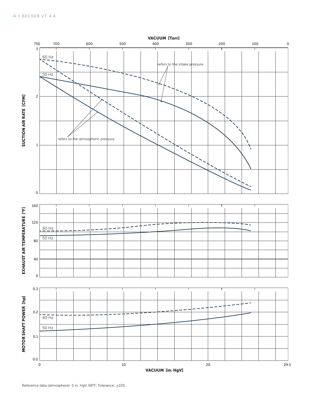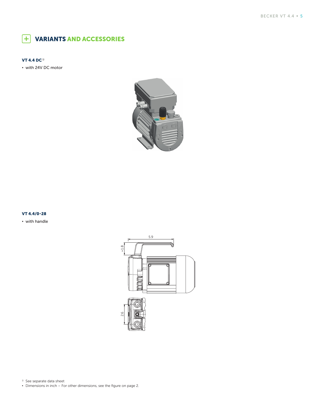### VARIANTS AND ACCESSORIES

#### VT 4.4 DC $<sup>1</sup>$ </sup>

**▪** with 24V DC motor



#### VT 4.4/0-28

**▪** with handle



<sup>1)</sup> See separate data sheet

**•** Dimensions in inch – For other dimensions, see the figure on page 2.